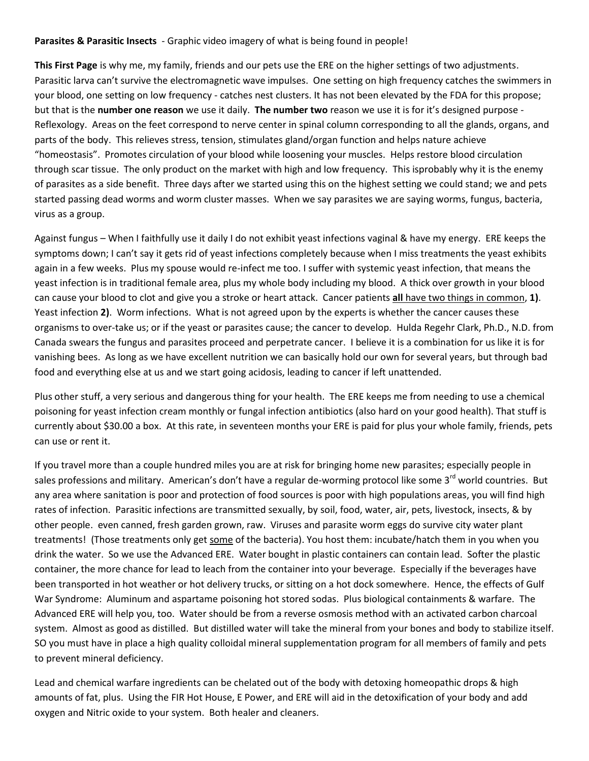## **Parasites & Parasitic Insects** - Graphic video imagery of what is being found in people!

**This First Page** is why me, my family, friends and our pets use the ERE on the higher settings of two adjustments. Parasitic larva can't survive the electromagnetic wave impulses. One setting on high frequency catches the swimmers in your blood, one setting on low frequency - catches nest clusters. It has not been elevated by the FDA for this propose; but that is the **number one reason** we use it daily. **The number two** reason we use it is for it's designed purpose - Reflexology. Areas on the feet correspond to nerve center in spinal column corresponding to all the glands, organs, and parts of the body. This relieves stress, tension, stimulates gland/organ function and helps nature achieve "homeostasis". Promotes circulation of your blood while loosening your muscles. Helps restore blood circulation through scar tissue. The only product on the market with high and low frequency. This isprobably why it is the enemy of parasites as a side benefit. Three days after we started using this on the highest setting we could stand; we and pets started passing dead worms and worm cluster masses. When we say parasites we are saying worms, fungus, bacteria, virus as a group.

Against fungus – When I faithfully use it daily I do not exhibit yeast infections vaginal & have my energy. ERE keeps the symptoms down; I can't say it gets rid of yeast infections completely because when I miss treatments the yeast exhibits again in a few weeks. Plus my spouse would re-infect me too. I suffer with systemic yeast infection, that means the yeast infection is in traditional female area, plus my whole body including my blood. A thick over growth in your blood can cause your blood to clot and give you a stroke or heart attack. Cancer patients **all** have two things in common, **1)**. Yeast infection **2)**. Worm infections. What is not agreed upon by the experts is whether the cancer causes these organisms to over-take us; or if the yeast or parasites cause; the cancer to develop. Hulda Regehr Clark, Ph.D., N.D. from Canada swears the fungus and parasites proceed and perpetrate cancer. I believe it is a combination for us like it is for vanishing bees. As long as we have excellent nutrition we can basically hold our own for several years, but through bad food and everything else at us and we start going acidosis, leading to cancer if left unattended.

Plus other stuff, a very serious and dangerous thing for your health. The ERE keeps me from needing to use a chemical poisoning for yeast infection cream monthly or fungal infection antibiotics (also hard on your good health). That stuff is currently about \$30.00 a box. At this rate, in seventeen months your ERE is paid for plus your whole family, friends, pets can use or rent it.

If you travel more than a couple hundred miles you are at risk for bringing home new parasites; especially people in sales professions and military. American's don't have a regular de-worming protocol like some 3<sup>rd</sup> world countries. But any area where sanitation is poor and protection of food sources is poor with high populations areas, you will find high rates of infection. Parasitic infections are transmitted sexually, by soil, food, water, air, pets, livestock, insects, & by other people. even canned, fresh garden grown, raw. Viruses and parasite worm eggs do survive city water plant treatments! (Those treatments only get some of the bacteria). You host them: incubate/hatch them in you when you drink the water. So we use the Advanced ERE. Water bought in plastic containers can contain lead. Softer the plastic container, the more chance for lead to leach from the container into your beverage. Especially if the beverages have been transported in hot weather or hot delivery trucks, or sitting on a hot dock somewhere. Hence, the effects of Gulf War Syndrome: Aluminum and aspartame poisoning hot stored sodas. Plus biological containments & warfare. The Advanced ERE will help you, too. Water should be from a reverse osmosis method with an activated carbon charcoal system. Almost as good as distilled. But distilled water will take the mineral from your bones and body to stabilize itself. SO you must have in place a high quality colloidal mineral supplementation program for all members of family and pets to prevent mineral deficiency.

Lead and chemical warfare ingredients can be chelated out of the body with detoxing homeopathic drops & high amounts of fat, plus. Using the FIR Hot House, E Power, and ERE will aid in the detoxification of your body and add oxygen and Nitric oxide to your system. Both healer and cleaners.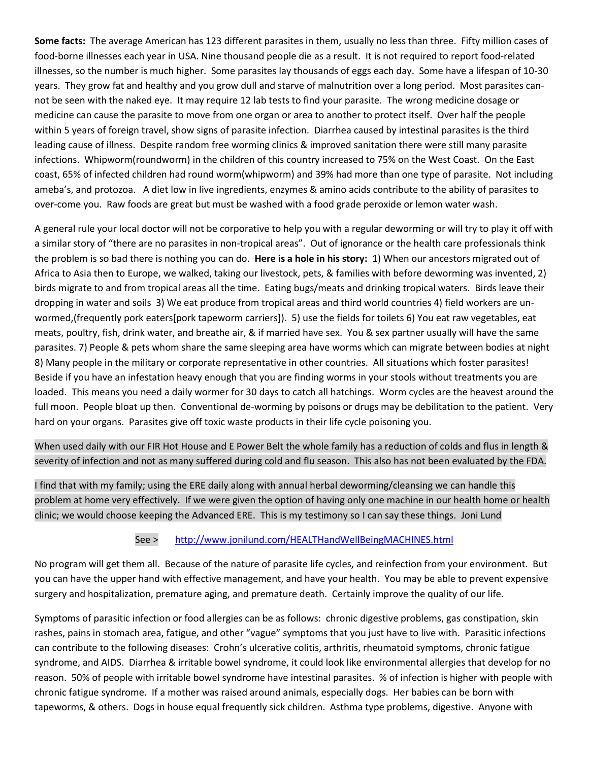**Some facts:** The average American has 123 different parasites in them, usually no less than three. Fifty million cases of food-borne illnesses each year in USA. Nine thousand people die as a result. It is not required to report food-related illnesses, so the number is much higher. Some parasites lay thousands of eggs each day. Some have a lifespan of 10-30 years. They grow fat and healthy and you grow dull and starve of malnutrition over a long period. Most parasites cannot be seen with the naked eye. It may require 12 lab tests to find your parasite. The wrong medicine dosage or medicine can cause the parasite to move from one organ or area to another to protect itself. Over half the people within 5 years of foreign travel, show signs of parasite infection. Diarrhea caused by intestinal parasites is the third leading cause of illness. Despite random free worming clinics & improved sanitation there were still many parasite infections. Whipworm(roundworm) in the children of this country increased to 75% on the West Coast. On the East coast, 65% of infected children had round worm(whipworm) and 39% had more than one type of parasite. Not including ameba's, and protozoa. A diet low in live ingredients, enzymes & amino acids contribute to the ability of parasites to over-come you. Raw foods are great but must be washed with a food grade peroxide or lemon water wash.

A general rule your local doctor will not be corporative to help you with a regular deworming or will try to play it off with a similar story of "there are no parasites in non-tropical areas". Out of ignorance or the health care professionals think the problem is so bad there is nothing you can do. **Here is a hole in his story:** 1) When our ancestors migrated out of Africa to Asia then to Europe, we walked, taking our livestock, pets, & families with before deworming was invented, 2) birds migrate to and from tropical areas all the time. Eating bugs/meats and drinking tropical waters. Birds leave their dropping in water and soils 3) We eat produce from tropical areas and third world countries 4) field workers are unwormed,(frequently pork eaters[pork tapeworm carriers]). 5) use the fields for toilets 6) You eat raw vegetables, eat meats, poultry, fish, drink water, and breathe air, & if married have sex. You & sex partner usually will have the same parasites. 7) People & pets whom share the same sleeping area have worms which can migrate between bodies at night 8) Many people in the military or corporate representative in other countries. All situations which foster parasites! Beside if you have an infestation heavy enough that you are finding worms in your stools without treatments you are loaded. This means you need a daily wormer for 30 days to catch all hatchings. Worm cycles are the heavest around the full moon. People bloat up then. Conventional de-worming by poisons or drugs may be debilitation to the patient. Very hard on your organs. Parasites give off toxic waste products in their life cycle poisoning you.

When used daily with our FIR Hot House and E Power Belt the whole family has a reduction of colds and flus in length & severity of infection and not as many suffered during cold and flu season. This also has not been evaluated by the FDA.

I find that with my family; using the ERE daily along with annual herbal deworming/cleansing we can handle this problem at home very effectively. If we were given the option of having only one machine in our health home or health clinic; we would choose keeping the Advanced ERE. This is my testimony so I can say these things. Joni Lund

## See > <http://www.jonilund.com/HEALTHandWellBeingMACHINES.html>

No program will get them all. Because of the nature of parasite life cycles, and reinfection from your environment. But you can have the upper hand with effective management, and have your health. You may be able to prevent expensive surgery and hospitalization, premature aging, and premature death. Certainly improve the quality of our life.

Symptoms of parasitic infection or food allergies can be as follows: chronic digestive problems, gas constipation, skin rashes, pains in stomach area, fatigue, and other "vague" symptoms that you just have to live with. Parasitic infections can contribute to the following diseases: Crohn's ulcerative colitis, arthritis, rheumatoid symptoms, chronic fatigue syndrome, and AIDS. Diarrhea & irritable bowel syndrome, it could look like environmental allergies that develop for no reason. 50% of people with irritable bowel syndrome have intestinal parasites. % of infection is higher with people with chronic fatigue syndrome. If a mother was raised around animals, especially dogs. Her babies can be born with tapeworms, & others. Dogs in house equal frequently sick children. Asthma type problems, digestive. Anyone with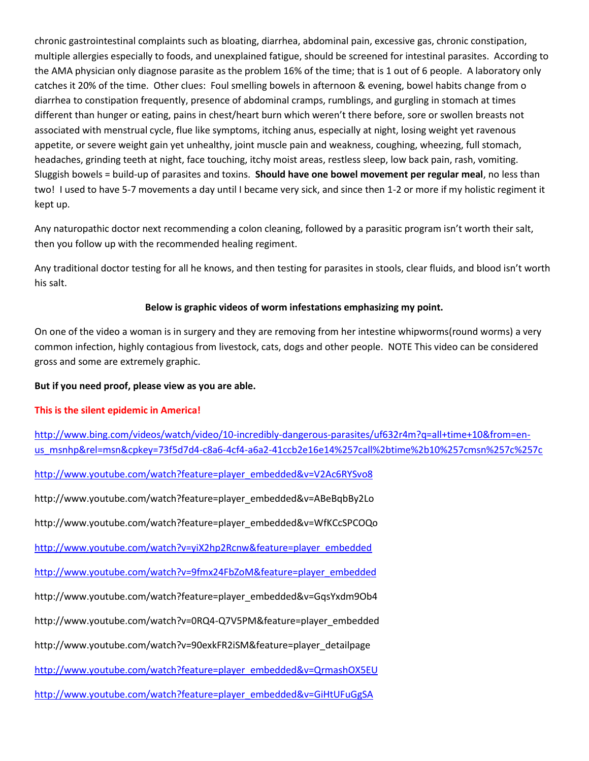chronic gastrointestinal complaints such as bloating, diarrhea, abdominal pain, excessive gas, chronic constipation, multiple allergies especially to foods, and unexplained fatigue, should be screened for intestinal parasites. According to the AMA physician only diagnose parasite as the problem 16% of the time; that is 1 out of 6 people. A laboratory only catches it 20% of the time. Other clues: Foul smelling bowels in afternoon & evening, bowel habits change from o diarrhea to constipation frequently, presence of abdominal cramps, rumblings, and gurgling in stomach at times different than hunger or eating, pains in chest/heart burn which weren't there before, sore or swollen breasts not associated with menstrual cycle, flue like symptoms, itching anus, especially at night, losing weight yet ravenous appetite, or severe weight gain yet unhealthy, joint muscle pain and weakness, coughing, wheezing, full stomach, headaches, grinding teeth at night, face touching, itchy moist areas, restless sleep, low back pain, rash, vomiting. Sluggish bowels = build-up of parasites and toxins. **Should have one bowel movement per regular meal**, no less than two! I used to have 5-7 movements a day until I became very sick, and since then 1-2 or more if my holistic regiment it kept up.

Any naturopathic doctor next recommending a colon cleaning, followed by a parasitic program isn't worth their salt, then you follow up with the recommended healing regiment.

Any traditional doctor testing for all he knows, and then testing for parasites in stools, clear fluids, and blood isn't worth his salt.

## **Below is graphic videos of worm infestations emphasizing my point.**

On one of the video a woman is in surgery and they are removing from her intestine whipworms(round worms) a very common infection, highly contagious from livestock, cats, dogs and other people. NOTE This video can be considered gross and some are extremely graphic.

## **But if you need proof, please view as you are able.**

# **This is the silent epidemic in America!**

[http://www.bing.com/videos/watch/video/10-incredibly-dangerous-parasites/uf632r4m?q=all+time+10&from=en](http://www.bing.com/videos/watch/video/10-incredibly-dangerous-parasites/uf632r4m?q=all+time+10&from=en-us_msnhp&rel=msn&cpkey=73f5d7d4-c8a6-4cf4-a6a2-41ccb2e16e14%257call%2btime%2b10%257cmsn%257c%257c)[us\\_msnhp&rel=msn&cpkey=73f5d7d4-c8a6-4cf4-a6a2-41ccb2e16e14%257call%2btime%2b10%257cmsn%257c%257c](http://www.bing.com/videos/watch/video/10-incredibly-dangerous-parasites/uf632r4m?q=all+time+10&from=en-us_msnhp&rel=msn&cpkey=73f5d7d4-c8a6-4cf4-a6a2-41ccb2e16e14%257call%2btime%2b10%257cmsn%257c%257c)

[http://www.youtube.com/watch?feature=player\\_embedded&v=V2Ac6RYSvo8](http://www.youtube.com/watch?feature=player_embedded&v=V2Ac6RYSvo8)

http://www.youtube.com/watch?feature=player\_embedded&v=ABeBqbBy2Lo

http://www.youtube.com/watch?feature=player\_embedded&v=WfKCcSPCOQo

[http://www.youtube.com/watch?v=yiX2hp2Rcnw&feature=player\\_embedded](http://www.youtube.com/watch?v=yiX2hp2Rcnw&feature=player_embedded)

[http://www.youtube.com/watch?v=9fmx24FbZoM&feature=player\\_embedded](http://www.youtube.com/watch?v=9fmx24FbZoM&feature=player_embedded)

http://www.youtube.com/watch?feature=player\_embedded&v=GqsYxdm9Ob4

http://www.youtube.com/watch?v=0RQ4-Q7V5PM&feature=player\_embedded

http://www.youtube.com/watch?v=90exkFR2iSM&feature=player\_detailpage

[http://www.youtube.com/watch?feature=player\\_embedded&v=QrmashOX5EU](http://www.youtube.com/watch?feature=player_embedded&v=QrmashOX5EU)

[http://www.youtube.com/watch?feature=player\\_embedded&v=GiHtUFuGgSA](http://www.youtube.com/watch?feature=player_embedded&v=GiHtUFuGgSA)